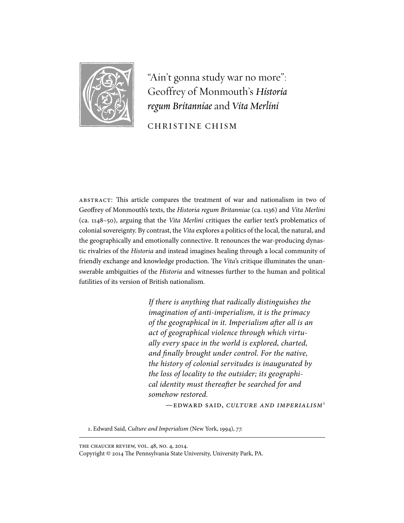

"Ain't gonna study war no more": Geoffrey of Monmouth's *Historia regum Britanniae* and *Vita Merlini*

christine chism

ABSTRACT: This article compares the treatment of war and nationalism in two of Geoffrey of Monmouth's texts, the Historia regum Britanniae (ca. 1136) and Vita Merlini (ca. 1148–50), arguing that the Vita Merlini critiques the earlier text's problematics of colonial sovereignty. By contrast, the Vita explores a politics of the local, the natural, and the geographically and emotionally connective. It renounces the war-producing dynastic rivalries of the Historia and instead imagines healing through a local community of friendly exchange and knowledge production. The Vita's critique illuminates the unanswerable ambiguities of the Historia and witnesses further to the human and political futilities of its version of British nationalism.

> If there is anything that radically distinguishes the imagination of anti-imperialism, it is the primacy of the geographical in it. Imperialism afer all is an act of geographical violence through which virtually every space in the world is explored, charted, and fnally brought under control. For the native, the history of colonial servitudes is inaugurated by the loss of locality to the outsider; its geographical identity must thereafter be searched for and somehow restored.

> > $-$ EDWARD SAID, CULTURE AND IMPERIALISM<sup>1</sup>

1. Edward Said, Culture and Imperialism (New York, 1994), 77.

the chaucer review, vol. 48, no. 4, 2014.

Copyright © 2014 The Pennsylvania State University, University Park, PA.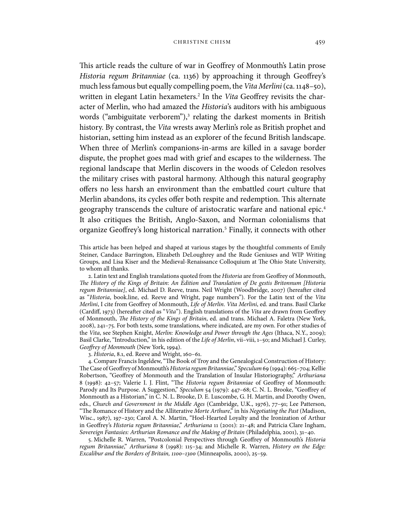This article reads the culture of war in Geoffrey of Monmouth's Latin prose Historia regum Britanniae (ca. 1136) by approaching it through Geofrey's much less famous but equally compelling poem, the Vita Merlini (ca. 1148–50), written in elegant Latin hexameters.<sup>2</sup> In the Vita Geoffrey revisits the character of Merlin, who had amazed the Historia's auditors with his ambiguous words ("ambiguitate verborem"),<sup>3</sup> relating the darkest moments in British history. By contrast, the Vita wrests away Merlin's role as British prophet and historian, setting him instead as an explorer of the fecund British landscape. When three of Merlin's companions-in-arms are killed in a savage border dispute, the prophet goes mad with grief and escapes to the wilderness. The regional landscape that Merlin discovers in the woods of Celedon resolves the military crises with pastoral harmony. Although this natural geography ofers no less harsh an environment than the embattled court culture that Merlin abandons, its cycles offer both respite and redemption. This alternate geography transcends the culture of aristocratic warfare and national epic.4 It also critiques the British, Anglo-Saxon, and Norman colonialisms that organize Geoffrey's long historical narration.<sup>5</sup> Finally, it connects with other

This article has been helped and shaped at various stages by the thoughtful comments of Emily Steiner, Candace Barrington, Elizabeth DeLoughrey and the Rude Geniuses and WIP Writing Groups, and Lisa Kiser and the Medieval-Renaissance Colloquium at The Ohio State University, to whom all thanks.

2. Latin text and English translations quoted from the Historia are from Geoffrey of Monmouth, The History of the Kings of Britain: An Edition and Translation of De gestis Britonnum [Historia regum Britanniae], ed. Michael D. Reeve, trans. Neil Wright (Woodbridge, 2007) (hereafer cited as "Historia, book.line, ed. Reeve and Wright, page numbers"). For the Latin text of the Vita Merlini, I cite from Geoffrey of Monmouth, Life of Merlin. Vita Merlini, ed. and trans. Basil Clarke (Cardif, 1973) (hereafer cited as "Vita"). English translations of the Vita are drawn from Geofrey of Monmouth, The History of the Kings of Britain, ed. and trans. Michael A. Faletra (New York, 2008), 241–75. For both texts, some translations, where indicated, are my own. For other studies of the Vita, see Stephen Knight, Merlin: Knowledge and Power through the Ages (Ithaca, N.Y., 2009); Basil Clarke, "Introduction," in his edition of the Life of Merlin, vii–viii, 1–50; and Michael J. Curley, Geofrey of Monmouth (New York, 1994).

3. Historia, 8.1, ed. Reeve and Wright, 160–61.

4. Compare Francis Ingeldew, "Te Book of Troy and the Genealogical Construction of History: The Case of Geoffrey of Monmouth's Historia regum Britanniae," Speculum 69 (1994): 665-704; Kellie Robertson, "Geofrey of Monmouth and the Translation of Insular Historiography," Arthuriana 8 (1998): 42-57; Valerie I. J. Flint, "The Historia regum Britanniae of Geoffrey of Monmouth: Parody and Its Purpose. A Suggestion," Speculum 54 (1979): 447–68; C. N. L. Brooke, "Geofrey of Monmouth as a Historian," in C. N. L. Brooke, D. E. Luscombe, G. H. Martin, and Dorothy Owen, eds., Church and Government in the Middle Ages (Cambridge, U.K., 1976), 77–91; Lee Patterson, "The Romance of History and the Alliterative Morte Arthure," in his Negotiating the Past (Madison, Wisc., 1987), 197–230; Carol A. N. Martin, "Hoel-Hearted Loyalty and the Ironization of Arthur in Geoffrey's Historia regum Britanniae," Arthuriana 11 (2001): 21-48; and Patricia Clare Ingham, Sovereign Fantasies: Arthurian Romance and the Making of Britain (Philadelphia, 2001), 31–40.

5. Michelle R. Warren, "Postcolonial Perspectives through Geoffrey of Monmouth's Historia regum Britanniae," Arthuriana 8 (1998): 115–34; and Michelle R. Warren, History on the Edge: Excalibur and the Borders of Britain, 1100–1300 (Minneapolis, 2000), 25–59.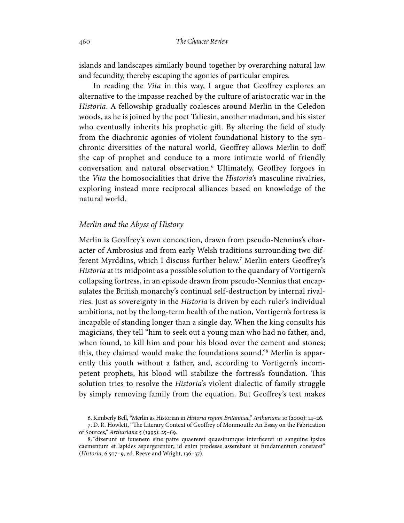islands and landscapes similarly bound together by overarching natural law and fecundity, thereby escaping the agonies of particular empires.

In reading the Vita in this way, I argue that Geofrey explores an alternative to the impasse reached by the culture of aristocratic war in the Historia. A fellowship gradually coalesces around Merlin in the Celedon woods, as he is joined by the poet Taliesin, another madman, and his sister who eventually inherits his prophetic gift. By altering the field of study from the diachronic agonies of violent foundational history to the synchronic diversities of the natural world, Geofrey allows Merlin to dof the cap of prophet and conduce to a more intimate world of friendly conversation and natural observation.6 Ultimately, Geofrey forgoes in the Vita the homosocialities that drive the Historia's masculine rivalries, exploring instead more reciprocal alliances based on knowledge of the natural world.

## Merlin and the Abyss of History

Merlin is Geofrey's own concoction, drawn from pseudo-Nennius's character of Ambrosius and from early Welsh traditions surrounding two different Myrddins, which I discuss further below.7 Merlin enters Geofrey's Historia at its midpoint as a possible solution to the quandary of Vortigern's collapsing fortress, in an episode drawn from pseudo-Nennius that encapsulates the British monarchy's continual self-destruction by internal rivalries. Just as sovereignty in the Historia is driven by each ruler's individual ambitions, not by the long-term health of the nation, Vortigern's fortress is incapable of standing longer than a single day. When the king consults his magicians, they tell "him to seek out a young man who had no father, and, when found, to kill him and pour his blood over the cement and stones; this, they claimed would make the foundations sound."8 Merlin is apparently this youth without a father, and, according to Vortigern's incompetent prophets, his blood will stabilize the fortress's foundation. This solution tries to resolve the Historia's violent dialectic of family struggle by simply removing family from the equation. But Geofrey's text makes

<sup>6</sup>. Kimberly Bell, "Merlin as Historian in Historia regum Britanniae," Arthuriana 10 (2000): 14–26.

<sup>7.</sup> D. R. Howlett, "The Literary Context of Geoffrey of Monmouth: An Essay on the Fabrication of Sources," Arthuriana 5 (1995): 25–69.

<sup>8</sup>."dixerunt ut iuuenem sine patre quaereret quaesitumque interfceret ut sanguine ipsius caementum et lapides aspergerentur; id enim prodesse asserebant ut fundamentum constaret" (Historia, 6.507–9, ed. Reeve and Wright, 136–37).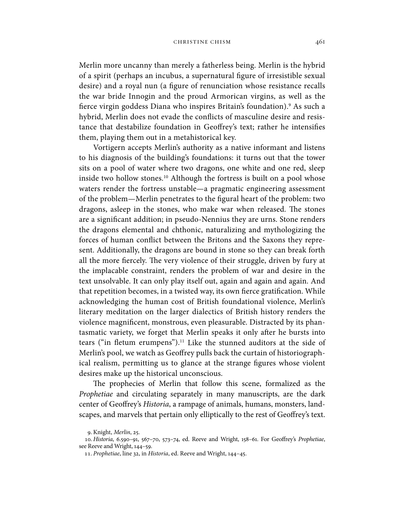Merlin more uncanny than merely a fatherless being. Merlin is the hybrid of a spirit (perhaps an incubus, a supernatural fgure of irresistible sexual desire) and a royal nun (a fgure of renunciation whose resistance recalls the war bride Innogin and the proud Armorican virgins, as well as the ferce virgin goddess Diana who inspires Britain's foundation).9 As such a hybrid, Merlin does not evade the conficts of masculine desire and resistance that destabilize foundation in Geofrey's text; rather he intensifes them, playing them out in a metahistorical key.

Vortigern accepts Merlin's authority as a native informant and listens to his diagnosis of the building's foundations: it turns out that the tower sits on a pool of water where two dragons, one white and one red, sleep inside two hollow stones.10 Although the fortress is built on a pool whose waters render the fortress unstable—a pragmatic engineering assessment of the problem—Merlin penetrates to the fgural heart of the problem: two dragons, asleep in the stones, who make war when released. The stones are a signifcant addition; in pseudo-Nennius they are urns. Stone renders the dragons elemental and chthonic, naturalizing and mythologizing the forces of human confict between the Britons and the Saxons they represent. Additionally, the dragons are bound in stone so they can break forth all the more fiercely. The very violence of their struggle, driven by fury at the implacable constraint, renders the problem of war and desire in the text unsolvable. It can only play itself out, again and again and again. And that repetition becomes, in a twisted way, its own ferce gratifcation. While acknowledging the human cost of British foundational violence, Merlin's literary meditation on the larger dialectics of British history renders the violence magnifcent, monstrous, even pleasurable. Distracted by its phantasmatic variety, we forget that Merlin speaks it only after he bursts into tears ("in fletum erumpens").<sup>11</sup> Like the stunned auditors at the side of Merlin's pool, we watch as Geofrey pulls back the curtain of historiographical realism, permitting us to glance at the strange fgures whose violent desires make up the historical unconscious.

The prophecies of Merlin that follow this scene, formalized as the Prophetiae and circulating separately in many manuscripts, are the dark center of Geofrey's Historia, a rampage of animals, humans, monsters, landscapes, and marvels that pertain only elliptically to the rest of Geofrey's text.

<sup>9</sup>. Knight, Merlin, 25.

<sup>10</sup>. Historia, 6.590–91, 567–70, 573–74, ed. Reeve and Wright, 158–61. For Geofrey's Prophetiae, see Reeve and Wright, 144–59.

<sup>11</sup>. Prophetiae, line 32, in Historia, ed. Reeve and Wright, 144–45.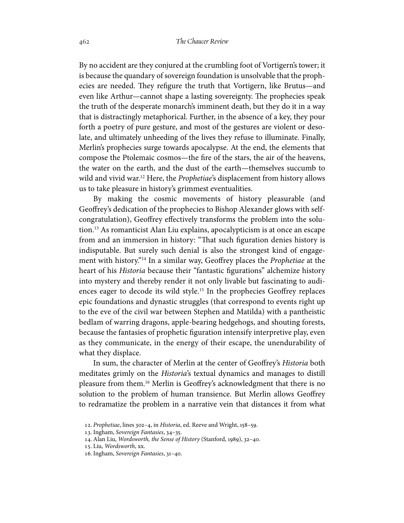By no accident are they conjured at the crumbling foot of Vortigern's tower; it is because the quandary of sovereign foundation is unsolvable that the prophecies are needed. They refigure the truth that Vortigern, like Brutus—and even like Arthur—cannot shape a lasting sovereignty. The prophecies speak the truth of the desperate monarch's imminent death, but they do it in a way that is distractingly metaphorical. Further, in the absence of a key, they pour forth a poetry of pure gesture, and most of the gestures are violent or desolate, and ultimately unheeding of the lives they refuse to illuminate. Finally, Merlin's prophecies surge towards apocalypse. At the end, the elements that compose the Ptolemaic cosmos—the fre of the stars, the air of the heavens, the water on the earth, and the dust of the earth—themselves succumb to wild and vivid war.<sup>12</sup> Here, the *Prophetiae's* displacement from history allows us to take pleasure in history's grimmest eventualities.

By making the cosmic movements of history pleasurable (and Geofrey's dedication of the prophecies to Bishop Alexander glows with selfcongratulation), Geofrey efectively transforms the problem into the solution.13 As romanticist Alan Liu explains, apocalypticism is at once an escape from and an immersion in history: "That such figuration denies history is indisputable. But surely such denial is also the strongest kind of engagement with history."<sup>14</sup> In a similar way, Geoffrey places the *Prophetiae* at the heart of his *Historia* because their "fantastic figurations" alchemize history into mystery and thereby render it not only livable but fascinating to audiences eager to decode its wild style.<sup>15</sup> In the prophecies Geoffrey replaces epic foundations and dynastic struggles (that correspond to events right up to the eve of the civil war between Stephen and Matilda) with a pantheistic bedlam of warring dragons, apple-bearing hedgehogs, and shouting forests, because the fantasies of prophetic fguration intensify interpretive play, even as they communicate, in the energy of their escape, the unendurability of what they displace.

In sum, the character of Merlin at the center of Geofrey's Historia both meditates grimly on the Historia's textual dynamics and manages to distill pleasure from them.16 Merlin is Geofrey's acknowledgment that there is no solution to the problem of human transience. But Merlin allows Geofrey to redramatize the problem in a narrative vein that distances it from what

<sup>12</sup>. Prophetiae, lines 302–4, in Historia, ed. Reeve and Wright, 158–59.

<sup>13</sup>. Ingham, Sovereign Fantasies, 34–35.

<sup>14</sup>. Alan Liu, Wordsworth, the Sense of History (Stanford, 1989), 32–40.

<sup>15</sup>. Liu, Wordsworth, xx.

<sup>16</sup>. Ingham, Sovereign Fantasies, 31–40.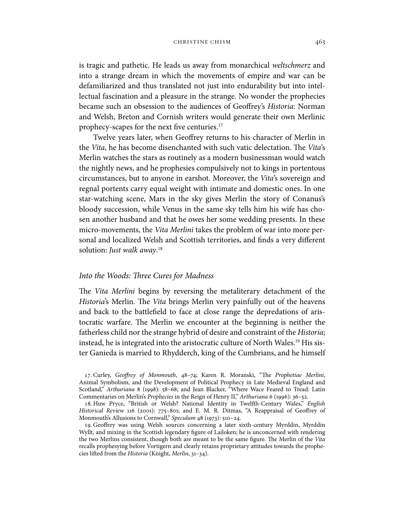is tragic and pathetic. He leads us away from monarchical weltschmerz and into a strange dream in which the movements of empire and war can be defamiliarized and thus translated not just into endurability but into intellectual fascination and a pleasure in the strange. No wonder the prophecies became such an obsession to the audiences of Geofrey's Historia: Norman and Welsh, Breton and Cornish writers would generate their own Merlinic prophecy-scapes for the next five centuries.<sup>17</sup>

Twelve years later, when Geofrey returns to his character of Merlin in the Vita, he has become disenchanted with such vatic delectation. The Vita's Merlin watches the stars as routinely as a modern businessman would watch the nightly news, and he prophesies compulsively not to kings in portentous circumstances, but to anyone in earshot. Moreover, the Vita's sovereign and regnal portents carry equal weight with intimate and domestic ones. In one star-watching scene, Mars in the sky gives Merlin the story of Conanus's bloody succession, while Venus in the same sky tells him his wife has chosen another husband and that he owes her some wedding presents. In these micro-movements, the Vita Merlini takes the problem of war into more personal and localized Welsh and Scottish territories, and fnds a very diferent solution: Just walk away.<sup>18</sup>

## Into the Woods: Three Cures for Madness

The Vita Merlini begins by reversing the metaliterary detachment of the Historia's Merlin. The Vita brings Merlin very painfully out of the heavens and back to the battlefeld to face at close range the depredations of aristocratic warfare. The Merlin we encounter at the beginning is neither the fatherless child nor the strange hybrid of desire and constraint of the Historia; instead, he is integrated into the aristocratic culture of North Wales.<sup>19</sup> His sister Ganieda is married to Rhydderch, king of the Cumbrians, and he himself

<sup>17.</sup> Curley, Geoffrey of Monmouth, 48-74; Karen R. Moranski, "The Prophetiae Merlini, Animal Symbolism, and the Development of Political Prophecy in Late Medieval England and Scotland," Arthuriana 8 (1998): 58–68; and Jean Blacker, "Where Wace Feared to Tread: Latin Commentaries on Merlin's Prophecies in the Reign of Henry II," Arthuriana 6 (1996): 36-52.

<sup>18.</sup> Huw Pryce, "British or Welsh? National Identity in Twelfth-Century Wales," English Historical Review 116 (2001): 775–801; and E. M. R. Ditmas, "A Reappraisal of Geofrey of Monmouth's Allusions to Cornwall," Speculum 48 (1973): 510-24.

<sup>19</sup>. Geofrey was using Welsh sources concerning a later sixth-century Myrddin, Myrddin Wyllt, and mixing in the Scottish legendary fgure of Lailoken; he is unconcerned with rendering the two Merlins consistent, though both are meant to be the same figure. The Merlin of the Vita recalls prophesying before Vortigern and clearly retains proprietary attitudes towards the prophecies lifed from the Historia (Knight, Merlin, 31–34).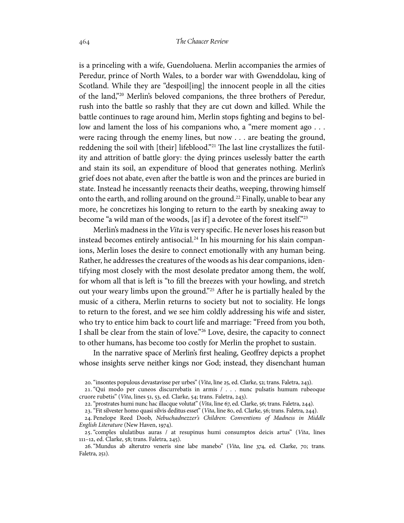is a princeling with a wife, Guendoluena. Merlin accompanies the armies of Peredur, prince of North Wales, to a border war with Gwenddolau, king of Scotland. While they are "despoil[ing] the innocent people in all the cities of the land,"20 Merlin's beloved companions, the three brothers of Peredur, rush into the battle so rashly that they are cut down and killed. While the battle continues to rage around him, Merlin stops fghting and begins to bellow and lament the loss of his companions who, a "mere moment ago . . . were racing through the enemy lines, but now . . . are beating the ground, reddening the soil with [their] lifeblood."<sup>21</sup> The last line crystallizes the futility and attrition of battle glory: the dying princes uselessly batter the earth and stain its soil, an expenditure of blood that generates nothing. Merlin's grief does not abate, even afer the battle is won and the princes are buried in state. Instead he incessantly reenacts their deaths, weeping, throwing himself onto the earth, and rolling around on the ground.<sup>22</sup> Finally, unable to bear any more, he concretizes his longing to return to the earth by sneaking away to become "a wild man of the woods, [as if] a devotee of the forest itself."23

Merlin's madness in the Vita is very specifc. He never loses his reason but instead becomes entirely antisocial.<sup>24</sup> In his mourning for his slain companions, Merlin loses the desire to connect emotionally with any human being. Rather, he addresses the creatures of the woods as his dear companions, identifying most closely with the most desolate predator among them, the wolf, for whom all that is left is "to fill the breezes with your howling, and stretch out your weary limbs upon the ground."25 Afer he is partially healed by the music of a cithera, Merlin returns to society but not to sociality. He longs to return to the forest, and we see him coldly addressing his wife and sister, who try to entice him back to court life and marriage: "Freed from you both, I shall be clear from the stain of love."26 Love, desire, the capacity to connect to other humans, has become too costly for Merlin the prophet to sustain.

In the narrative space of Merlin's frst healing, Geofrey depicts a prophet whose insights serve neither kings nor God; instead, they disenchant human

<sup>20</sup>."insontes populous devastavisse per urbes" (Vita, line 25, ed. Clarke, 52; trans. Faletra, 243).

<sup>21</sup>."Qui modo per cuneos discurrebatis in armis / . . . nunc pulsatis humum rubeoque cruore rubetis" (Vita, lines 51, 53, ed. Clarke, 54; trans. Faletra, 243).

<sup>22. &</sup>quot;prostrates humi nunc hac illacque volutat" (Vita, line 67, ed. Clarke, 56; trans. Faletra, 244).

<sup>23</sup>."Fit silvester homo quasi silvis deditus esset" (Vita, line 80, ed. Clarke, 56; trans. Faletra, 244).

<sup>24</sup>. Penelope Reed Doob, Nebuchadnezzer's Children: Conventions of Madness in Middle English Literature (New Haven, 1974).

<sup>25</sup>."comples ululatibus auras / at resupinus humi consumptos deicis artus" (Vita, lines 111–12, ed. Clarke, 58; trans. Faletra, 245).

<sup>26</sup>."Mundus ab alterutro veneris sine labe manebo" (Vita, line 374, ed. Clarke, 70; trans. Faletra, 251).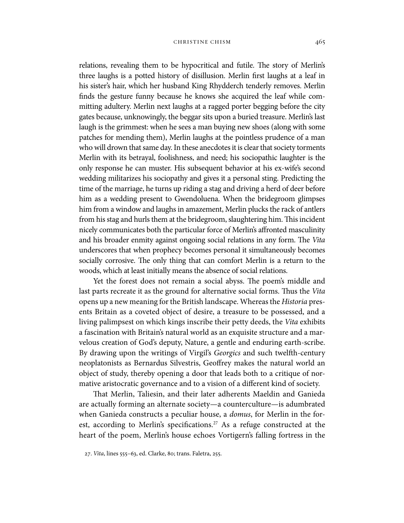relations, revealing them to be hypocritical and futile. The story of Merlin's three laughs is a potted history of disillusion. Merlin frst laughs at a leaf in his sister's hair, which her husband King Rhydderch tenderly removes. Merlin fnds the gesture funny because he knows she acquired the leaf while committing adultery. Merlin next laughs at a ragged porter begging before the city gates because, unknowingly, the beggar sits upon a buried treasure. Merlin's last laugh is the grimmest: when he sees a man buying new shoes (along with some patches for mending them), Merlin laughs at the pointless prudence of a man who will drown that same day. In these anecdotes it is clear that society torments Merlin with its betrayal, foolishness, and need; his sociopathic laughter is the only response he can muster. His subsequent behavior at his ex-wife's second wedding militarizes his sociopathy and gives it a personal sting. Predicting the time of the marriage, he turns up riding a stag and driving a herd of deer before him as a wedding present to Gwendoluena. When the bridegroom glimpses him from a window and laughs in amazement, Merlin plucks the rack of antlers from his stag and hurls them at the bridegroom, slaughtering him. This incident nicely communicates both the particular force of Merlin's afronted masculinity and his broader enmity against ongoing social relations in any form. The Vita underscores that when prophecy becomes personal it simultaneously becomes socially corrosive. The only thing that can comfort Merlin is a return to the woods, which at least initially means the absence of social relations.

Yet the forest does not remain a social abyss. The poem's middle and last parts recreate it as the ground for alternative social forms. Thus the Vita opens up a new meaning for the British landscape. Whereas the Historia presents Britain as a coveted object of desire, a treasure to be possessed, and a living palimpsest on which kings inscribe their petty deeds, the Vita exhibits a fascination with Britain's natural world as an exquisite structure and a marvelous creation of God's deputy, Nature, a gentle and enduring earth-scribe. By drawing upon the writings of Virgil's Georgics and such twelfh-century neoplatonists as Bernardus Silvestris, Geofrey makes the natural world an object of study, thereby opening a door that leads both to a critique of normative aristocratic governance and to a vision of a diferent kind of society.

That Merlin, Taliesin, and their later adherents Maeldin and Ganieda are actually forming an alternate society—a counterculture—is adumbrated when Ganieda constructs a peculiar house, a *domus*, for Merlin in the forest, according to Merlin's specifications.<sup>27</sup> As a refuge constructed at the heart of the poem, Merlin's house echoes Vortigern's falling fortress in the

<sup>27</sup>. Vita, lines 555–63, ed. Clarke, 80; trans. Faletra, 255.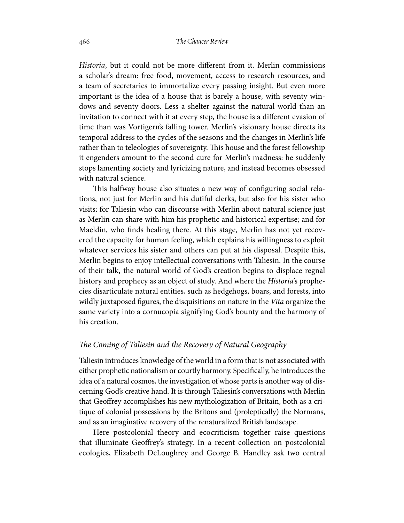Historia, but it could not be more diferent from it. Merlin commissions a scholar's dream: free food, movement, access to research resources, and a team of secretaries to immortalize every passing insight. But even more important is the idea of a house that is barely a house, with seventy windows and seventy doors. Less a shelter against the natural world than an invitation to connect with it at every step, the house is a diferent evasion of time than was Vortigern's falling tower. Merlin's visionary house directs its temporal address to the cycles of the seasons and the changes in Merlin's life rather than to teleologies of sovereignty. This house and the forest fellowship it engenders amount to the second cure for Merlin's madness: he suddenly stops lamenting society and lyricizing nature, and instead becomes obsessed with natural science.

This halfway house also situates a new way of configuring social relations, not just for Merlin and his dutiful clerks, but also for his sister who visits; for Taliesin who can discourse with Merlin about natural science just as Merlin can share with him his prophetic and historical expertise; and for Maeldin, who fnds healing there. At this stage, Merlin has not yet recovered the capacity for human feeling, which explains his willingness to exploit whatever services his sister and others can put at his disposal. Despite this, Merlin begins to enjoy intellectual conversations with Taliesin. In the course of their talk, the natural world of God's creation begins to displace regnal history and prophecy as an object of study. And where the Historia's prophecies disarticulate natural entities, such as hedgehogs, boars, and forests, into wildly juxtaposed figures, the disquisitions on nature in the Vita organize the same variety into a cornucopia signifying God's bounty and the harmony of his creation.

## The Coming of Taliesin and the Recovery of Natural Geography

Taliesin introduces knowledge of the world in a form that is not associated with either prophetic nationalism or courtly harmony. Specifcally, he introduces the idea of a natural cosmos, the investigation of whose parts is another way of discerning God's creative hand. It is through Taliesin's conversations with Merlin that Geofrey accomplishes his new mythologization of Britain, both as a critique of colonial possessions by the Britons and (proleptically) the Normans, and as an imaginative recovery of the renaturalized British landscape.

Here postcolonial theory and ecocriticism together raise questions that illuminate Geofrey's strategy. In a recent collection on postcolonial ecologies, Elizabeth DeLoughrey and George B. Handley ask two central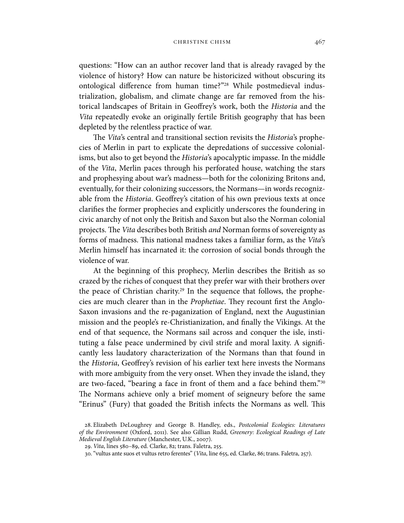questions: "How can an author recover land that is already ravaged by the violence of history? How can nature be historicized without obscuring its ontological diference from human time?"28 While postmedieval industrialization, globalism, and climate change are far removed from the historical landscapes of Britain in Geofrey's work, both the Historia and the Vita repeatedly evoke an originally fertile British geography that has been depleted by the relentless practice of war.

The Vita's central and transitional section revisits the Historia's prophecies of Merlin in part to explicate the depredations of successive colonialisms, but also to get beyond the Historia's apocalyptic impasse. In the middle of the Vita, Merlin paces through his perforated house, watching the stars and prophesying about war's madness—both for the colonizing Britons and, eventually, for their colonizing successors, the Normans—in words recognizable from the *Historia*. Geoffrey's citation of his own previous texts at once clarifes the former prophecies and explicitly underscores the foundering in civic anarchy of not only the British and Saxon but also the Norman colonial projects. The Vita describes both British and Norman forms of sovereignty as forms of madness. This national madness takes a familiar form, as the Vita's Merlin himself has incarnated it: the corrosion of social bonds through the violence of war.

At the beginning of this prophecy, Merlin describes the British as so crazed by the riches of conquest that they prefer war with their brothers over the peace of Christian charity.<sup>29</sup> In the sequence that follows, the prophecies are much clearer than in the Prophetiae. They recount first the Anglo-Saxon invasions and the re-paganization of England, next the Augustinian mission and the people's re-Christianization, and fnally the Vikings. At the end of that sequence, the Normans sail across and conquer the isle, instituting a false peace undermined by civil strife and moral laxity. A signifcantly less laudatory characterization of the Normans than that found in the Historia, Geofrey's revision of his earlier text here invests the Normans with more ambiguity from the very onset. When they invade the island, they are two-faced, "bearing a face in front of them and a face behind them."30 The Normans achieve only a brief moment of seigneury before the same "Erinus" (Fury) that goaded the British infects the Normans as well. This

<sup>28</sup>. Elizabeth DeLoughrey and George B. Handley, eds., Postcolonial Ecologies: Literatures of the Environment (Oxford, 2011). See also Gillian Rudd, Greenery: Ecological Readings of Late Medieval English Literature (Manchester, U.K., 2007).

<sup>29</sup>. Vita, lines 580–89, ed. Clarke, 82; trans. Faletra, 255.

<sup>30</sup>."vultus ante suos et vultus retro ferentes" (Vita, line 655, ed. Clarke, 86; trans. Faletra, 257).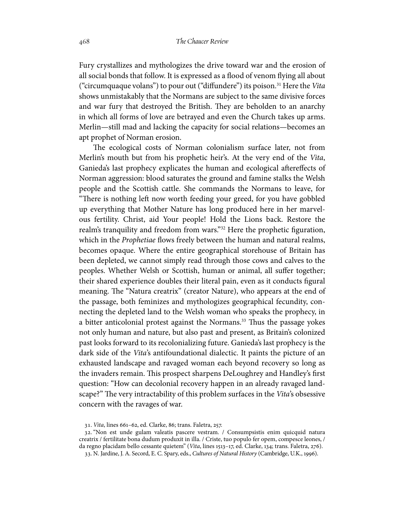Fury crystallizes and mythologizes the drive toward war and the erosion of all social bonds that follow. It is expressed as a food of venom fying all about ("circumquaque volans") to pour out ("diffundere") its poison.<sup>31</sup> Here the Vita shows unmistakably that the Normans are subject to the same divisive forces and war fury that destroyed the British. They are beholden to an anarchy in which all forms of love are betrayed and even the Church takes up arms. Merlin—still mad and lacking the capacity for social relations—becomes an apt prophet of Norman erosion.

The ecological costs of Norman colonialism surface later, not from Merlin's mouth but from his prophetic heir's. At the very end of the Vita, Ganieda's last prophecy explicates the human and ecological aferefects of Norman aggression: blood saturates the ground and famine stalks the Welsh people and the Scottish cattle. She commands the Normans to leave, for "There is nothing left now worth feeding your greed, for you have gobbled up everything that Mother Nature has long produced here in her marvelous fertility. Christ, aid Your people! Hold the Lions back. Restore the realm's tranquility and freedom from wars."<sup>32</sup> Here the prophetic figuration, which in the *Prophetiae* flows freely between the human and natural realms, becomes opaque. Where the entire geographical storehouse of Britain has been depleted, we cannot simply read through those cows and calves to the peoples. Whether Welsh or Scottish, human or animal, all sufer together; their shared experience doubles their literal pain, even as it conducts fgural meaning. The "Natura creatrix" (creator Nature), who appears at the end of the passage, both feminizes and mythologizes geographical fecundity, connecting the depleted land to the Welsh woman who speaks the prophecy, in a bitter anticolonial protest against the Normans.<sup>33</sup> Thus the passage yokes not only human and nature, but also past and present, as Britain's colonized past looks forward to its recolonializing future. Ganieda's last prophecy is the dark side of the Vita's antifoundational dialectic. It paints the picture of an exhausted landscape and ravaged woman each beyond recovery so long as the invaders remain. This prospect sharpens DeLoughrey and Handley's first question: "How can decolonial recovery happen in an already ravaged landscape?" The very intractability of this problem surfaces in the Vita's obsessive concern with the ravages of war.

<sup>31</sup>. Vita, lines 661–62, ed. Clarke, 86; trans. Faletra, 257.

<sup>32</sup>."Non est unde gulam valeatis pascere vestram. / Consumpsistis enim quicquid natura creatrix / fertilitate bona dudum produxit in illa. / Criste, tuo populo fer opem, compesce leones, / da regno placidam bello cessante quietem" (Vita, lines 1513–17, ed. Clarke, 134; trans. Faletra, 276).

<sup>33</sup>. N. Jardine, J. A. Secord, E. C. Spary, eds., Cultures of Natural History (Cambridge, U.K., 1996).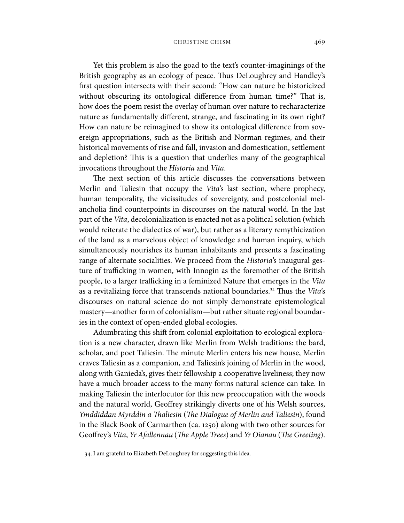Yet this problem is also the goad to the text's counter-imaginings of the British geography as an ecology of peace. Thus DeLoughrey and Handley's frst question intersects with their second: "How can nature be historicized without obscuring its ontological difference from human time?" That is, how does the poem resist the overlay of human over nature to recharacterize nature as fundamentally diferent, strange, and fascinating in its own right? How can nature be reimagined to show its ontological diference from sovereign appropriations, such as the British and Norman regimes, and their historical movements of rise and fall, invasion and domestication, settlement and depletion? This is a question that underlies many of the geographical invocations throughout the Historia and Vita.

The next section of this article discusses the conversations between Merlin and Taliesin that occupy the Vita's last section, where prophecy, human temporality, the vicissitudes of sovereignty, and postcolonial melancholia fnd counterpoints in discourses on the natural world. In the last part of the Vita, decolonialization is enacted not as a political solution (which would reiterate the dialectics of war), but rather as a literary remythicization of the land as a marvelous object of knowledge and human inquiry, which simultaneously nourishes its human inhabitants and presents a fascinating range of alternate socialities. We proceed from the Historia's inaugural gesture of trafficking in women, with Innogin as the foremother of the British people, to a larger trafficking in a feminized Nature that emerges in the Vita as a revitalizing force that transcends national boundaries.<sup>34</sup> Thus the Vita's discourses on natural science do not simply demonstrate epistemological mastery—another form of colonialism—but rather situate regional boundaries in the context of open-ended global ecologies.

Adumbrating this shift from colonial exploitation to ecological exploration is a new character, drawn like Merlin from Welsh traditions: the bard, scholar, and poet Taliesin. The minute Merlin enters his new house, Merlin craves Taliesin as a companion, and Taliesin's joining of Merlin in the wood, along with Ganieda's, gives their fellowship a cooperative liveliness; they now have a much broader access to the many forms natural science can take. In making Taliesin the interlocutor for this new preoccupation with the woods and the natural world, Geofrey strikingly diverts one of his Welsh sources, Ymddiddan Myrddin a Thaliesin (The Dialogue of Merlin and Taliesin), found in the Black Book of Carmarthen (ca. 1250) along with two other sources for Geoffrey's Vita, Yr Afallennau (The Apple Trees) and Yr Oianau (The Greeting).

<sup>34</sup>. I am grateful to Elizabeth DeLoughrey for suggesting this idea.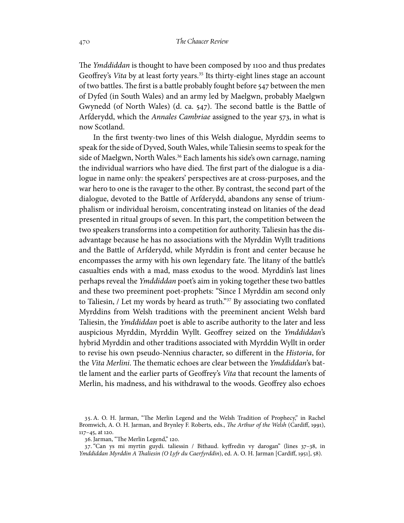The Ymddiddan is thought to have been composed by 1100 and thus predates Geoffrey's Vita by at least forty years.<sup>35</sup> Its thirty-eight lines stage an account of two battles. The first is a battle probably fought before 547 between the men of Dyfed (in South Wales) and an army led by Maelgwn, probably Maelgwn Gwynedd (of North Wales) (d. ca. 547). The second battle is the Battle of Arfderydd, which the Annales Cambriae assigned to the year 573, in what is now Scotland.

In the frst twenty-two lines of this Welsh dialogue, Myrddin seems to speak for the side of Dyved, South Wales, while Taliesin seems to speak for the side of Maelgwn, North Wales.<sup>36</sup> Each laments his side's own carnage, naming the individual warriors who have died. The first part of the dialogue is a dialogue in name only: the speakers' perspectives are at cross-purposes, and the war hero to one is the ravager to the other. By contrast, the second part of the dialogue, devoted to the Battle of Arfderydd, abandons any sense of triumphalism or individual heroism, concentrating instead on litanies of the dead presented in ritual groups of seven. In this part, the competition between the two speakers transforms into a competition for authority. Taliesin has the disadvantage because he has no associations with the Myrddin Wyllt traditions and the Battle of Arfderydd, while Myrddin is front and center because he encompasses the army with his own legendary fate. The litany of the battle's casualties ends with a mad, mass exodus to the wood. Myrddin's last lines perhaps reveal the Ymddiddan poet's aim in yoking together these two battles and these two preeminent poet-prophets: "Since I Myrddin am second only to Taliesin, / Let my words by heard as truth."<sup>37</sup> By associating two conflated Myrddins from Welsh traditions with the preeminent ancient Welsh bard Taliesin, the Ymddiddan poet is able to ascribe authority to the later and less auspicious Myrddin, Myrddin Wyllt. Geoffrey seized on the Ymddiddan's hybrid Myrddin and other traditions associated with Myrddin Wyllt in order to revise his own pseudo-Nennius character, so diferent in the Historia, for the Vita Merlini. The thematic echoes are clear between the Ymddiddan's battle lament and the earlier parts of Geofrey's Vita that recount the laments of Merlin, his madness, and his withdrawal to the woods. Geofrey also echoes

<sup>35.</sup> A. O. H. Jarman, "The Merlin Legend and the Welsh Tradition of Prophecy," in Rachel Bromwich, A. O. H. Jarman, and Brynley F. Roberts, eds., The Arthur of the Welsh (Cardiff, 1991), 117–45, at 120.

<sup>36.</sup> Jarman, "The Merlin Legend," 120.

<sup>37</sup>."Can ys mi myrtin guydi. taliessin / Bithaud. kyfredin vy darogan" (lines 37–38, in Ymddiddan Myrddin A Thaliesin (O Lyfr du Caerfyrddin), ed. A. O. H. Jarman [Cardiff, 1951], 58).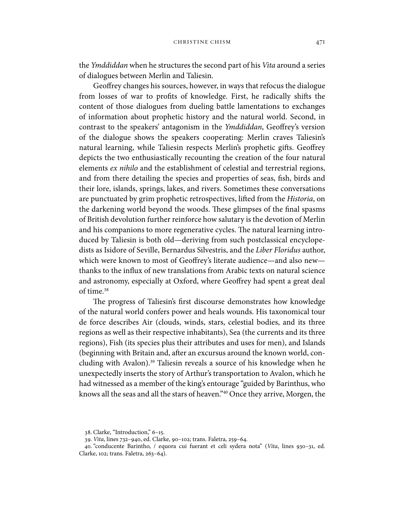the Ymddiddan when he structures the second part of his Vita around a series of dialogues between Merlin and Taliesin.

Geofrey changes his sources, however, in ways that refocus the dialogue from losses of war to profts of knowledge. First, he radically shifs the content of those dialogues from dueling battle lamentations to exchanges of information about prophetic history and the natural world. Second, in contrast to the speakers' antagonism in the Ymddiddan, Geoffrey's version of the dialogue shows the speakers cooperating: Merlin craves Taliesin's natural learning, while Taliesin respects Merlin's prophetic gifs. Geofrey depicts the two enthusiastically recounting the creation of the four natural elements ex nihilo and the establishment of celestial and terrestrial regions, and from there detailing the species and properties of seas, fsh, birds and their lore, islands, springs, lakes, and rivers. Sometimes these conversations are punctuated by grim prophetic retrospectives, lifted from the *Historia*, on the darkening world beyond the woods. These glimpses of the final spasms of British devolution further reinforce how salutary is the devotion of Merlin and his companions to more regenerative cycles. The natural learning introduced by Taliesin is both old—deriving from such postclassical encyclopedists as Isidore of Seville, Bernardus Silvestris, and the Liber Floridus author, which were known to most of Geofrey's literate audience—and also new thanks to the infux of new translations from Arabic texts on natural science and astronomy, especially at Oxford, where Geofrey had spent a great deal of time.38

The progress of Taliesin's first discourse demonstrates how knowledge of the natural world confers power and heals wounds. His taxonomical tour de force describes Air (clouds, winds, stars, celestial bodies, and its three regions as well as their respective inhabitants), Sea (the currents and its three regions), Fish (its species plus their attributes and uses for men), and Islands (beginning with Britain and, after an excursus around the known world, concluding with Avalon).39 Taliesin reveals a source of his knowledge when he unexpectedly inserts the story of Arthur's transportation to Avalon, which he had witnessed as a member of the king's entourage "guided by Barinthus, who knows all the seas and all the stars of heaven."40 Once they arrive, Morgen, the

<sup>38</sup>. Clarke, "Introduction," 6–15.

<sup>39</sup>. Vita, lines 732–940, ed. Clarke, 90–102; trans. Faletra, 259–64.

<sup>40</sup>."conducente Barintho, / equora cui fuerant et celi sydera nota" (Vita, lines 930–31, ed. Clarke, 102; trans. Faletra, 263–64).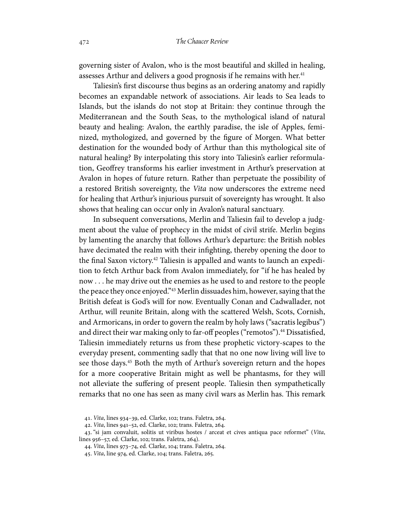governing sister of Avalon, who is the most beautiful and skilled in healing, assesses Arthur and delivers a good prognosis if he remains with her.<sup>41</sup>

Taliesin's frst discourse thus begins as an ordering anatomy and rapidly becomes an expandable network of associations. Air leads to Sea leads to Islands, but the islands do not stop at Britain: they continue through the Mediterranean and the South Seas, to the mythological island of natural beauty and healing: Avalon, the earthly paradise, the isle of Apples, feminized, mythologized, and governed by the fgure of Morgen. What better destination for the wounded body of Arthur than this mythological site of natural healing? By interpolating this story into Taliesin's earlier reformulation, Geofrey transforms his earlier investment in Arthur's preservation at Avalon in hopes of future return. Rather than perpetuate the possibility of a restored British sovereignty, the Vita now underscores the extreme need for healing that Arthur's injurious pursuit of sovereignty has wrought. It also shows that healing can occur only in Avalon's natural sanctuary.

In subsequent conversations, Merlin and Taliesin fail to develop a judgment about the value of prophecy in the midst of civil strife. Merlin begins by lamenting the anarchy that follows Arthur's departure: the British nobles have decimated the realm with their infghting, thereby opening the door to the final Saxon victory.<sup>42</sup> Taliesin is appalled and wants to launch an expedition to fetch Arthur back from Avalon immediately, for "if he has healed by now . . . he may drive out the enemies as he used to and restore to the people the peace they once enjoyed."43 Merlin dissuades him, however, saying that the British defeat is God's will for now. Eventually Conan and Cadwallader, not Arthur, will reunite Britain, along with the scattered Welsh, Scots, Cornish, and Armoricans, in order to govern the realm by holy laws ("sacratis legibus") and direct their war making only to far-off peoples ("remotos").<sup>44</sup> Dissatisfied, Taliesin immediately returns us from these prophetic victory-scapes to the everyday present, commenting sadly that that no one now living will live to see those days.<sup>45</sup> Both the myth of Arthur's sovereign return and the hopes for a more cooperative Britain might as well be phantasms, for they will not alleviate the sufering of present people. Taliesin then sympathetically remarks that no one has seen as many civil wars as Merlin has. This remark

<sup>41</sup>. Vita, lines 934–39, ed. Clarke, 102; trans. Faletra, 264.

<sup>42</sup>. Vita, lines 941–52, ed. Clarke, 102; trans. Faletra, 264.

<sup>43</sup>."si jam convaluit, solitis ut viribus hostes / arceat et cives antiqua pace reformet" (Vita, lines 956–57, ed. Clarke, 102; trans. Faletra, 264).

<sup>44</sup>. Vita, lines 973–74, ed. Clarke, 104; trans. Faletra, 264.

<sup>45</sup>. Vita, line 974, ed. Clarke, 104; trans. Faletra, 265.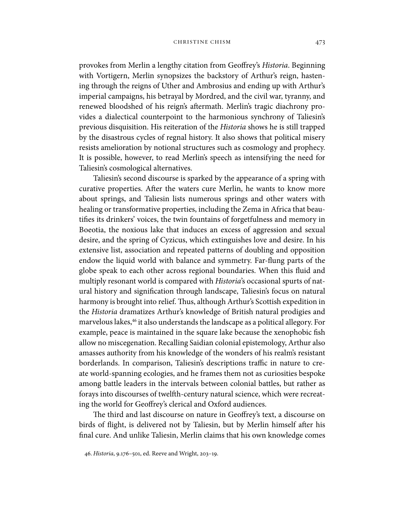provokes from Merlin a lengthy citation from Geofrey's Historia. Beginning with Vortigern, Merlin synopsizes the backstory of Arthur's reign, hastening through the reigns of Uther and Ambrosius and ending up with Arthur's imperial campaigns, his betrayal by Mordred, and the civil war, tyranny, and renewed bloodshed of his reign's afermath. Merlin's tragic diachrony provides a dialectical counterpoint to the harmonious synchrony of Taliesin's previous disquisition. His reiteration of the Historia shows he is still trapped by the disastrous cycles of regnal history. It also shows that political misery resists amelioration by notional structures such as cosmology and prophecy. It is possible, however, to read Merlin's speech as intensifying the need for Taliesin's cosmological alternatives.

Taliesin's second discourse is sparked by the appearance of a spring with curative properties. Afer the waters cure Merlin, he wants to know more about springs, and Taliesin lists numerous springs and other waters with healing or transformative properties, including the Zema in Africa that beautifes its drinkers' voices, the twin fountains of forgetfulness and memory in Boeotia, the noxious lake that induces an excess of aggression and sexual desire, and the spring of Cyzicus, which extinguishes love and desire. In his extensive list, association and repeated patterns of doubling and opposition endow the liquid world with balance and symmetry. Far-fung parts of the globe speak to each other across regional boundaries. When this fuid and multiply resonant world is compared with Historia's occasional spurts of natural history and signifcation through landscape, Taliesin's focus on natural harmony is brought into relief. Thus, although Arthur's Scottish expedition in the Historia dramatizes Arthur's knowledge of British natural prodigies and marvelous lakes,<sup>46</sup> it also understands the landscape as a political allegory. For example, peace is maintained in the square lake because the xenophobic fsh allow no miscegenation. Recalling Saidian colonial epistemology, Arthur also amasses authority from his knowledge of the wonders of his realm's resistant borderlands. In comparison, Taliesin's descriptions traffic in nature to create world-spanning ecologies, and he frames them not as curiosities bespoke among battle leaders in the intervals between colonial battles, but rather as forays into discourses of twelfh-century natural science, which were recreating the world for Geofrey's clerical and Oxford audiences.

The third and last discourse on nature in Geoffrey's text, a discourse on birds of flight, is delivered not by Taliesin, but by Merlin himself after his fnal cure. And unlike Taliesin, Merlin claims that his own knowledge comes

<sup>46</sup>. Historia, 9.176–501, ed. Reeve and Wright, 203–19.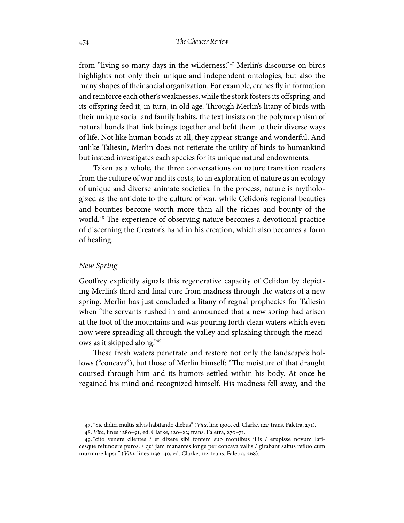from "living so many days in the wilderness."47 Merlin's discourse on birds highlights not only their unique and independent ontologies, but also the many shapes of their social organization. For example, cranes fy in formation and reinforce each other's weaknesses, while the stork fosters its offspring, and its offspring feed it, in turn, in old age. Through Merlin's litany of birds with their unique social and family habits, the text insists on the polymorphism of natural bonds that link beings together and beft them to their diverse ways of life. Not like human bonds at all, they appear strange and wonderful. And unlike Taliesin, Merlin does not reiterate the utility of birds to humankind but instead investigates each species for its unique natural endowments.

Taken as a whole, the three conversations on nature transition readers from the culture of war and its costs, to an exploration of nature as an ecology of unique and diverse animate societies. In the process, nature is mythologized as the antidote to the culture of war, while Celidon's regional beauties and bounties become worth more than all the riches and bounty of the world.<sup>48</sup> The experience of observing nature becomes a devotional practice of discerning the Creator's hand in his creation, which also becomes a form of healing.

## New Spring

Geofrey explicitly signals this regenerative capacity of Celidon by depicting Merlin's third and fnal cure from madness through the waters of a new spring. Merlin has just concluded a litany of regnal prophecies for Taliesin when "the servants rushed in and announced that a new spring had arisen at the foot of the mountains and was pouring forth clean waters which even now were spreading all through the valley and splashing through the meadows as it skipped along."49

These fresh waters penetrate and restore not only the landscape's hollows ("concava"), but those of Merlin himself: "The moisture of that draught coursed through him and its humors settled within his body. At once he regained his mind and recognized himself. His madness fell away, and the

<sup>47</sup>."Sic didici multis silvis habitando diebus" (Vita, line 1300, ed. Clarke, 122; trans. Faletra, 271).

<sup>48</sup>. Vita, lines 1280–91, ed. Clarke, 120–22; trans. Faletra, 270–71.

<sup>49</sup>."cito venere clientes / et dixere sibi fontem sub montibus illis / erupisse novum laticesque refundere puros, / qui jam manantes longe per concava vallis / girabant saltus refuo cum murmure lapsu" (Vita, lines 1136–40, ed. Clarke, 112; trans. Faletra, 268).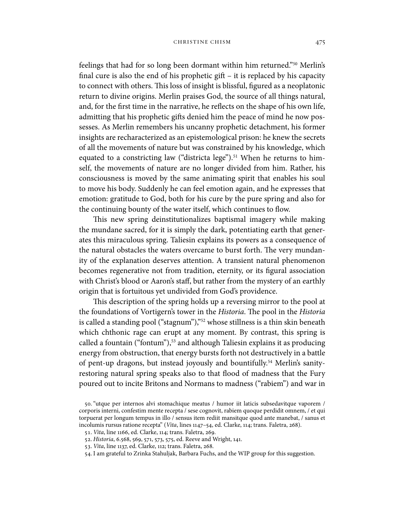feelings that had for so long been dormant within him returned."50 Merlin's fnal cure is also the end of his prophetic gif – it is replaced by his capacity to connect with others. This loss of insight is blissful, figured as a neoplatonic return to divine origins. Merlin praises God, the source of all things natural, and, for the frst time in the narrative, he refects on the shape of his own life, admitting that his prophetic gifs denied him the peace of mind he now possesses. As Merlin remembers his uncanny prophetic detachment, his former insights are recharacterized as an epistemological prison: he knew the secrets of all the movements of nature but was constrained by his knowledge, which equated to a constricting law ("districta lege").<sup>51</sup> When he returns to himself, the movements of nature are no longer divided from him. Rather, his consciousness is moved by the same animating spirit that enables his soul to move his body. Suddenly he can feel emotion again, and he expresses that emotion: gratitude to God, both for his cure by the pure spring and also for the continuing bounty of the water itself, which continues to flow.

This new spring deinstitutionalizes baptismal imagery while making the mundane sacred, for it is simply the dark, potentiating earth that generates this miraculous spring. Taliesin explains its powers as a consequence of the natural obstacles the waters overcame to burst forth. The very mundanity of the explanation deserves attention. A transient natural phenomenon becomes regenerative not from tradition, eternity, or its fgural association with Christ's blood or Aaron's staf, but rather from the mystery of an earthly origin that is fortuitous yet undivided from God's providence.

This description of the spring holds up a reversing mirror to the pool at the foundations of Vortigern's tower in the Historia. The pool in the Historia is called a standing pool ("stagnum"),"<sup>52</sup> whose stillness is a thin skin beneath which chthonic rage can erupt at any moment. By contrast, this spring is called a fountain ("fontum"), $53$  and although Taliesin explains it as producing energy from obstruction, that energy bursts forth not destructively in a battle of pent-up dragons, but instead joyously and bountifully.54 Merlin's sanityrestoring natural spring speaks also to that flood of madness that the Fury poured out to incite Britons and Normans to madness ("rabiem") and war in

<sup>50</sup>."utque per internos alvi stomachique meatus / humor iit laticis subsedavitque vaporem / corporis interni, confestim mente recepta / sese cognovit, rabiem quoque perdidit omnem, / et qui torpuerat per longum tempus in illo / sensus item rediit mansitque quod ante manebat, / sanus et incolumis rursus ratione recepta" (Vita, lines 1147–54, ed. Clarke, 114; trans. Faletra, 268).

<sup>51</sup>. Vita, line 1166, ed. Clarke, 114; trans. Faletra, 269.

<sup>52</sup>. Historia, 6.568, 569, 571, 573, 575, ed. Reeve and Wright, 141.

<sup>53</sup>. Vita, line 1137, ed. Clarke, 112; trans. Faletra, 268.

<sup>54</sup>. I am grateful to Zrinka Stahuljak, Barbara Fuchs, and the WIP group for this suggestion.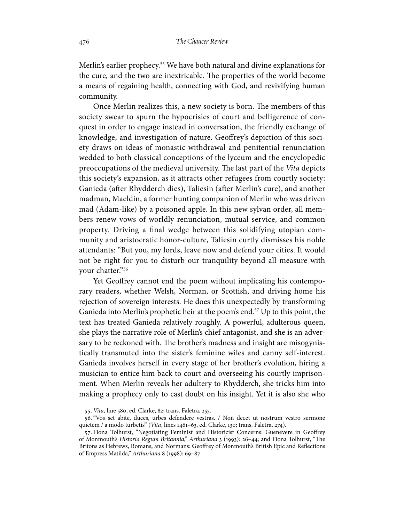Merlin's earlier prophecy.<sup>55</sup> We have both natural and divine explanations for the cure, and the two are inextricable. The properties of the world become a means of regaining health, connecting with God, and revivifying human community.

Once Merlin realizes this, a new society is born. The members of this society swear to spurn the hypocrisies of court and belligerence of conquest in order to engage instead in conversation, the friendly exchange of knowledge, and investigation of nature. Geofrey's depiction of this society draws on ideas of monastic withdrawal and penitential renunciation wedded to both classical conceptions of the lyceum and the encyclopedic preoccupations of the medieval university. The last part of the Vita depicts this society's expansion, as it attracts other refugees from courtly society: Ganieda (after Rhydderch dies), Taliesin (after Merlin's cure), and another madman, Maeldin, a former hunting companion of Merlin who was driven mad (Adam-like) by a poisoned apple. In this new sylvan order, all members renew vows of worldly renunciation, mutual service, and common property. Driving a fnal wedge between this solidifying utopian community and aristocratic honor-culture, Taliesin curtly dismisses his noble attendants: "But you, my lords, leave now and defend your cities. It would not be right for you to disturb our tranquility beyond all measure with your chatter."56

Yet Geofrey cannot end the poem without implicating his contemporary readers, whether Welsh, Norman, or Scottish, and driving home his rejection of sovereign interests. He does this unexpectedly by transforming Ganieda into Merlin's prophetic heir at the poem's end.<sup>57</sup> Up to this point, the text has treated Ganieda relatively roughly. A powerful, adulterous queen, she plays the narrative role of Merlin's chief antagonist, and she is an adversary to be reckoned with. The brother's madness and insight are misogynistically transmuted into the sister's feminine wiles and canny self-interest. Ganieda involves herself in every stage of her brother's evolution, hiring a musician to entice him back to court and overseeing his courtly imprisonment. When Merlin reveals her adultery to Rhydderch, she tricks him into making a prophecy only to cast doubt on his insight. Yet it is also she who

<sup>55</sup>. Vita, line 580, ed. Clarke, 82; trans. Faletra, 255.

<sup>56</sup>."Vos set abite, duces, urbes defendere vestras. / Non decet ut nostrum vestro sermone quietem / a modo turbetis" (Vita, lines 1461-63, ed. Clarke, 130; trans. Faletra, 274).

<sup>57</sup>. Fiona Tolhurst, "Negotiating Feminist and Historicist Concerns: Guenevere in Geofrey of Monmouth's Historia Regum Britannia," Arthuriana 3 (1993): 26-44; and Fiona Tolhurst, "The Britons as Hebrews, Romans, and Normans: Geofrey of Monmouth's British Epic and Refections of Empress Matilda," Arthuriana 8 (1998): 69–87.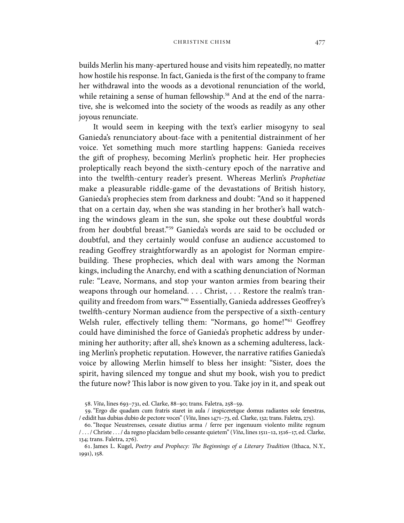builds Merlin his many-apertured house and visits him repeatedly, no matter how hostile his response. In fact, Ganieda is the frst of the company to frame her withdrawal into the woods as a devotional renunciation of the world, while retaining a sense of human fellowship.<sup>58</sup> And at the end of the narrative, she is welcomed into the society of the woods as readily as any other joyous renunciate.

It would seem in keeping with the text's earlier misogyny to seal Ganieda's renunciatory about-face with a penitential distrainment of her voice. Yet something much more startling happens: Ganieda receives the gift of prophesy, becoming Merlin's prophetic heir. Her prophecies proleptically reach beyond the sixth-century epoch of the narrative and into the twelfh-century reader's present. Whereas Merlin's Prophetiae make a pleasurable riddle-game of the devastations of British history, Ganieda's prophecies stem from darkness and doubt: "And so it happened that on a certain day, when she was standing in her brother's hall watching the windows gleam in the sun, she spoke out these doubtful words from her doubtful breast."59 Ganieda's words are said to be occluded or doubtful, and they certainly would confuse an audience accustomed to reading Geofrey straightforwardly as an apologist for Norman empirebuilding. These prophecies, which deal with wars among the Norman kings, including the Anarchy, end with a scathing denunciation of Norman rule: "Leave, Normans, and stop your wanton armies from bearing their weapons through our homeland. . . . Christ, . . . Restore the realm's tranquility and freedom from wars."60 Essentially, Ganieda addresses Geofrey's twelfh-century Norman audience from the perspective of a sixth-century Welsh ruler, effectively telling them: "Normans, go home!"<sup>61</sup> Geoffrey could have diminished the force of Ganieda's prophetic address by undermining her authority; after all, she's known as a scheming adulteress, lacking Merlin's prophetic reputation. However, the narrative ratifes Ganieda's voice by allowing Merlin himself to bless her insight: "Sister, does the spirit, having silenced my tongue and shut my book, wish you to predict the future now? This labor is now given to you. Take joy in it, and speak out

<sup>58</sup>. Vita, lines 693–731, ed. Clarke, 88–90; trans. Faletra, 258–59.

<sup>59</sup>."Ergo die quadam cum fratris staret in aula / inspiceretque domus radiantes sole fenestras, / edidit has dubias dubio de pectore voces" (Vita, lines 1471–73, ed. Clarke, 132; trans. Faletra, 275).

<sup>60</sup>."Iteque Neustrenses, cessate diutius arma / ferre per ingenuum violento milite regnum / . . . / Christe . . . / da regno placidam bello cessante quietem" (Vita, lines 1511–12, 1516–17, ed. Clarke, 134; trans. Faletra, 276).

<sup>61.</sup> James L. Kugel, Poetry and Prophecy: The Beginnings of a Literary Tradition (Ithaca, N.Y., 1991), 158.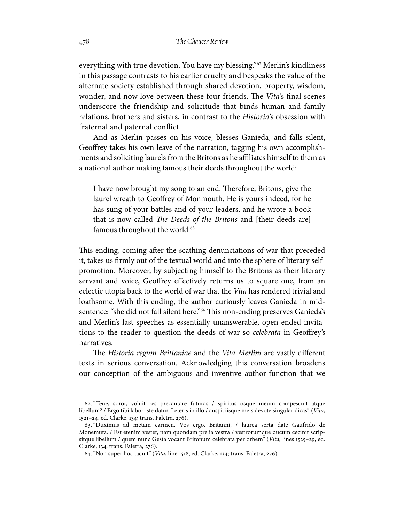everything with true devotion. You have my blessing."62 Merlin's kindliness in this passage contrasts to his earlier cruelty and bespeaks the value of the alternate society established through shared devotion, property, wisdom, wonder, and now love between these four friends. The Vita's final scenes underscore the friendship and solicitude that binds human and family relations, brothers and sisters, in contrast to the Historia's obsession with fraternal and paternal confict.

And as Merlin passes on his voice, blesses Ganieda, and falls silent, Geofrey takes his own leave of the narration, tagging his own accomplishments and soliciting laurels from the Britons as he afliates himself to them as a national author making famous their deeds throughout the world:

I have now brought my song to an end. Therefore, Britons, give the laurel wreath to Geofrey of Monmouth. He is yours indeed, for he has sung of your battles and of your leaders, and he wrote a book that is now called The Deeds of the Britons and [their deeds are] famous throughout the world.<sup>63</sup>

This ending, coming after the scathing denunciations of war that preceded it, takes us frmly out of the textual world and into the sphere of literary selfpromotion. Moreover, by subjecting himself to the Britons as their literary servant and voice, Geofrey efectively returns us to square one, from an eclectic utopia back to the world of war that the Vita has rendered trivial and loathsome. With this ending, the author curiously leaves Ganieda in midsentence: "she did not fall silent here."<sup>64</sup> This non-ending preserves Ganieda's and Merlin's last speeches as essentially unanswerable, open-ended invitations to the reader to question the deeds of war so celebrata in Geofrey's narratives.

The Historia regum Brittaniae and the Vita Merlini are vastly different texts in serious conversation. Acknowledging this conversation broadens our conception of the ambiguous and inventive author-function that we

<sup>62</sup>."Tene, soror, voluit res precantare futuras / spiritus osque meum compescuit atque libellum? / Ergo tibi labor iste datur. Leteris in illo / auspiciisque meis devote singular dicas" (Vita, 1521–24, ed. Clarke, 134; trans. Faletra, 276).

<sup>63</sup>."Duximus ad metam carmen. Vos ergo, Britanni, / laurea serta date Gaufrido de Monemuta. / Est etenim vester, nam quondam prelia vestra / vestrorumque ducum cecinit scripsitque libellum / quem nunc Gesta vocant Britonum celebrata per orbem" (Vita, lines 1525–29, ed. Clarke, 134; trans. Faletra, 276).

<sup>64</sup>."Non super hoc tacuit" (Vita, line 1518, ed. Clarke, 134; trans. Faletra, 276).